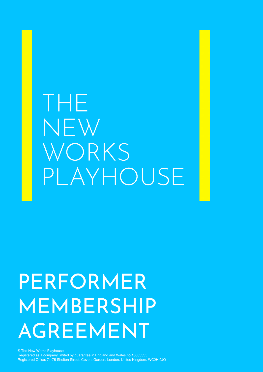# THE NEW WORKS PLAYHOUSE

# PERFORMER MEMBERSHIP AGREEMENT

© The New Works Playhouse Registered as a company limited by guarantee in England and Wales no.13083335. Registered Office: 71-75 Shelton Street, Covent Garden, London, United Kingdom, WC2H 9JQ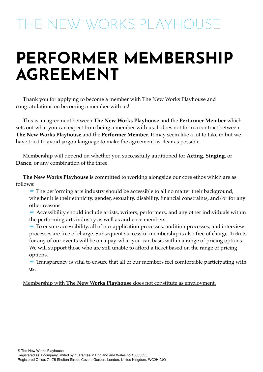# THE NEW WORKS PLAYHOUSE

# **PERFORMER MEMBERSHIP AGREEMENT**

Thank you for applying to become a member with The New Works Playhouse and congratulations on becoming a member with us!

This is an agreement between **The New Works Playhouse** and the **Performer Member** which sets out what you can expect from being a member with us. It does not form a contract between **The New Works Playhouse** and the **Performer Member**. It may seem like a lot to take in but we have tried to avoid jargon language to make the agreement as clear as possible.

Membership will depend on whether you successfully auditioned for **Acting**, **Singing,** or **Dance**, or any combination of the three.

**The New Works Playhouse** is committed to working alongside our core ethos which are as follows:

**-** The performing arts industry should be accessible to all no matter their background, whether it is their ethnicity, gender, sexuality, disability, financial constraints, and/or for any other reasons.

- **-** Accessibility should include artists, writers, performers, and any other individuals within the performing arts industry as well as audience members.
- **-** To ensure accessibility, all of our application processes, audition processes, and interview processes are free of charge. Subsequent successful membership is also free of charge. Tickets for any of our events will be on a pay-what-you-can basis within a range of pricing options. We will support those who are still unable to afford a ticket based on the range of pricing options.

**-** Transparency is vital to ensure that all of our members feel comfortable participating with us.

### Membership with **The New Works Playhouse** does not constitute as employment.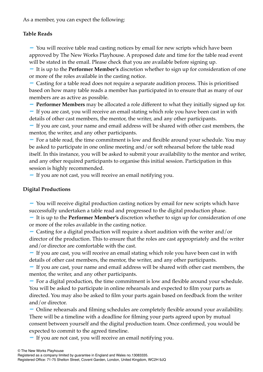As a member, you can expect the following:

## **Table Reads**

- You will receive table read casting notices by email for new scripts which have been approved by The New Works Playhouse. A proposed date and time for the table read event will be stated in the email. Please check that you are available before signing up.

- It is up to the **Performer Member's** discretion whether to sign up for consideration of one or more of the roles available in the casting notice.

- Casting for a table read does not require a separate audition process. This is prioritised based on how many table reads a member has participated in to ensure that as many of our members are as active as possible.

- **Performer Members** may be allocated a role different to what they initially signed up for.

- If you are cast, you will receive an email stating which role you have been cast in with details of other cast members, the mentor, the writer, and any other participants.

- If you are cast, your name and email address will be shared with other cast members, the mentor, the writer, and any other participants.

- For a table read, the time commitment is low and flexible around your schedule. You may be asked to participate in one online meeting and/or soft rehearsal before the table read itself. In this instance, you will be asked to submit your availability to the mentor and writer, and any other required participants to organise this initial session. Participation in this session is highly recommended.

- If you are not cast, you will receive an email notifying you.

## **Digital Productions**

- You will receive digital production casting notices by email for new scripts which have successfully undertaken a table read and progressed to the digital production phase.

- It is up to the **Performer Member's** discretion whether to sign up for consideration of one or more of the roles available in the casting notice.

 $\sim$  Casting for a digital production will require a short audition with the writer and/or director of the production. This to ensure that the roles are cast appropriately and the writer and/or director are comfortable with the cast.

- If you are cast, you will receive an email stating which role you have been cast in with details of other cast members, the mentor, the writer, and any other participants.

- If you are cast, your name and email address will be shared with other cast members, the mentor, the writer, and any other participants.

- For a digital production, the time commitment is low and flexible around your schedule. You will be asked to participate in online rehearsals and expected to film your parts as directed. You may also be asked to film your parts again based on feedback from the writer and/or director.

- Online rehearsals and filming schedules are completely flexible around your availability. There will be a timeline with a deadline for filming your parts agreed upon by mutual consent between yourself and the digital production team. Once confirmed, you would be expected to commit to the agreed timeline.

- If you are not cast, you will receive an email notifying you.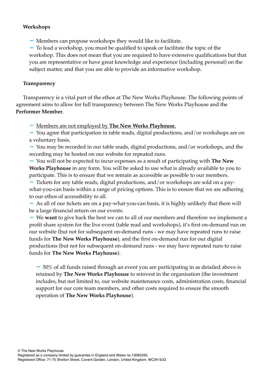### **Workshops**

- Members can propose workshops they would like to facilitate.

- To lead a workshop, you must be qualified to speak or facilitate the topic of the workshop. This does not mean that you are required to have extensive qualifications but that you are representative or have great knowledge and experience (including personal) on the subject matter, and that you are able to provide an informative workshop.

#### **Transparency**

Transparency is a vital part of the ethos at The New Works Playhouse. The following points of agreement aims to allow for full transparency between The New Works Playhouse and the **Performer Member**.

- Members are not employed by **The New Works Playhouse**.

- You agree that participation in table reads, digital productions, and/or workshops are on a voluntary basis.

- You may be recorded in our table reads, digital productions, and/or workshops, and the recording may be hosted on our website for repeated runs.

- You will not be expected to incur expenses as a result of participating with **The New Works Playhouse** in any form. You will be asked to use what is already available to you to participate. This is to ensure that we remain as accessible as possible to our members.

- Tickets for any table reads, digital productions, and/or workshops are sold on a paywhat-you-can basis within a range of pricing options. This is to ensure that we are adhering to our ethos of accessibility to all.

- As all of our tickets are on a pay-what-you-can basis, it is highly unlikely that there will be a large financial return on our events.

- We **want** to give back the best we can to all of our members and therefore we implement a profit share system for the live event (table read and workshops), it's first on-demand run on our website (but not for subsequent on-demand runs - we may have repeated runs to raise funds for **The New Works Playhouse**), and the first on-demand run for our digital productions (but not for subsequent on-demand runs - we may have repeated runs to raise funds for **The New Works Playhouse**).

 $-50\%$  of all funds raised through an event you are participating in as detailed above is retained by **The New Works Playhouse** to reinvest in the organisation (the investment includes, but not limited to, our website maintenance costs, administration costs, financial support for our core team members, and other costs required to ensure the smooth operation of **The New Works Playhouse**).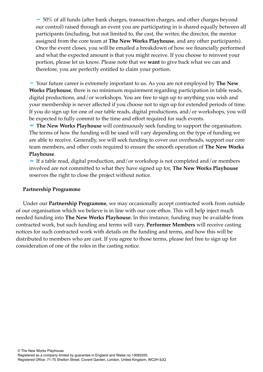- 50% of all funds (after bank charges, transaction charges, and other charges beyond our control) raised through an event you are participating in is shared equally between all participants (including, but not limited to, the cast, the writer, the director, the mentor assigned from the core team at **The New Works Playhouse**, and any other participants). Once the event closes, you will be emailed a breakdown of how we financially performed and what the expected amount is that you might receive. If you choose to reinvest your portion, please let us know. Please note that we **want** to give back what we can and therefore, you are perfectly entitled to claim your portion.

- Your future career is extremely important to us. As you are not employed by **The New Works Playhouse**, there is no minimum requirement regarding participation in table reads, digital productions, and/or workshops. You are free to sign up to anything you wish and your membership is never affected if you choose not to sign up for extended periods of time. If you do sign up for one of our table reads, digital productions, and/or workshops, you will be expected to fully commit to the time and effort required for such events.

**- The New Works Playhouse** will continuously seek funding to support the organisation. The terms of how the funding will be used will vary depending on the type of funding we are able to receive. Generally, we will seek funding to cover our overheads, support our core team members, and other costs required to ensure the smooth operation of **The New Works Playhouse**.

**-** If a table read, digital production, and/or workshop is not completed and/or members involved are not committed to what they have signed up for, **The New Works Playhouse**  reserves the right to close the project without notice.

#### **Partnership Programme**

Under our **Partnership Programme**, we may occasionally accept contracted work from outside of our organisation which we believe is in line with our core ethos. This will help inject much needed funding into **The New Works Playhouse.** In this instance, funding may be available from contracted work, but such funding and terms will vary. **Performer Members** will receive casting notices for such contracted work with details on the funding and terms, and how this will be distributed to members who are cast. If you agree to those terms, please feel free to sign up for consideration of one of the roles in the casting notice.